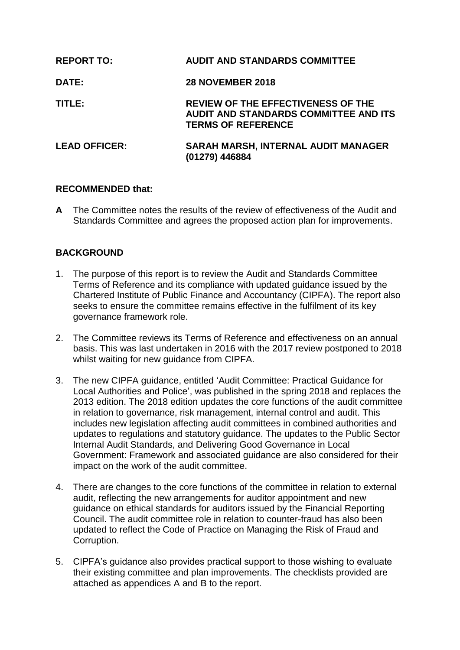| <b>REPORT TO:</b>    | <b>AUDIT AND STANDARDS COMMITTEE</b>                                                                            |
|----------------------|-----------------------------------------------------------------------------------------------------------------|
| <b>DATE:</b>         | <b>28 NOVEMBER 2018</b>                                                                                         |
| TITLE:               | REVIEW OF THE EFFECTIVENESS OF THE<br><b>AUDIT AND STANDARDS COMMITTEE AND ITS</b><br><b>TERMS OF REFERENCE</b> |
| <b>LEAD OFFICER:</b> | <b>SARAH MARSH, INTERNAL AUDIT MANAGER</b><br>(01279) 446884                                                    |

# **RECOMMENDED that:**

**A** The Committee notes the results of the review of effectiveness of the Audit and Standards Committee and agrees the proposed action plan for improvements.

# **BACKGROUND**

- 1. The purpose of this report is to review the Audit and Standards Committee Terms of Reference and its compliance with updated guidance issued by the Chartered Institute of Public Finance and Accountancy (CIPFA). The report also seeks to ensure the committee remains effective in the fulfilment of its key governance framework role.
- 2. The Committee reviews its Terms of Reference and effectiveness on an annual basis. This was last undertaken in 2016 with the 2017 review postponed to 2018 whilst waiting for new guidance from CIPFA.
- 3. The new CIPFA guidance, entitled 'Audit Committee: Practical Guidance for Local Authorities and Police', was published in the spring 2018 and replaces the 2013 edition. The 2018 edition updates the core functions of the audit committee in relation to governance, risk management, internal control and audit. This includes new legislation affecting audit committees in combined authorities and updates to regulations and statutory guidance. The updates to the Public Sector Internal Audit Standards, and Delivering Good Governance in Local Government: Framework and associated guidance are also considered for their impact on the work of the audit committee.
- 4. There are changes to the core functions of the committee in relation to external audit, reflecting the new arrangements for auditor appointment and new guidance on ethical standards for auditors issued by the Financial Reporting Council. The audit committee role in relation to counter-fraud has also been updated to reflect the Code of Practice on Managing the Risk of Fraud and Corruption.
- 5. CIPFA's guidance also provides practical support to those wishing to evaluate their existing committee and plan improvements. The checklists provided are attached as appendices A and B to the report.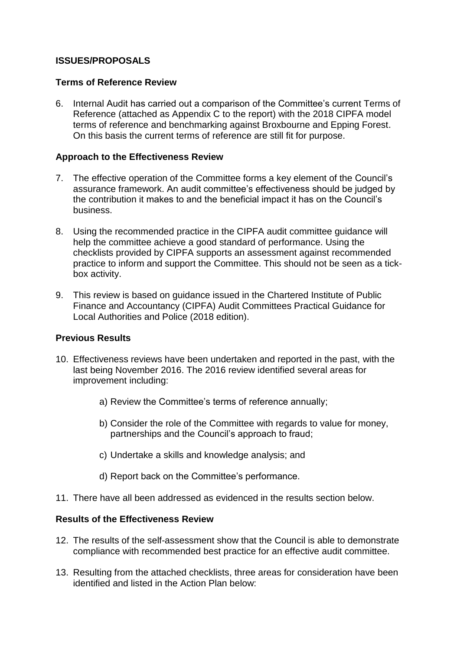# **ISSUES/PROPOSALS**

### **Terms of Reference Review**

6. Internal Audit has carried out a comparison of the Committee's current Terms of Reference (attached as Appendix C to the report) with the 2018 CIPFA model terms of reference and benchmarking against Broxbourne and Epping Forest. On this basis the current terms of reference are still fit for purpose.

## **Approach to the Effectiveness Review**

- 7. The effective operation of the Committee forms a key element of the Council's assurance framework. An audit committee's effectiveness should be judged by the contribution it makes to and the beneficial impact it has on the Council's business.
- 8. Using the recommended practice in the CIPFA audit committee guidance will help the committee achieve a good standard of performance. Using the checklists provided by CIPFA supports an assessment against recommended practice to inform and support the Committee. This should not be seen as a tickbox activity.
- 9. This review is based on guidance issued in the Chartered Institute of Public Finance and Accountancy (CIPFA) Audit Committees Practical Guidance for Local Authorities and Police (2018 edition).

## **Previous Results**

- 10. Effectiveness reviews have been undertaken and reported in the past, with the last being November 2016. The 2016 review identified several areas for improvement including:
	- a) Review the Committee's terms of reference annually;
	- b) Consider the role of the Committee with regards to value for money, partnerships and the Council's approach to fraud;
	- c) Undertake a skills and knowledge analysis; and
	- d) Report back on the Committee's performance.
- 11. There have all been addressed as evidenced in the results section below.

## **Results of the Effectiveness Review**

- 12. The results of the self-assessment show that the Council is able to demonstrate compliance with recommended best practice for an effective audit committee.
- 13. Resulting from the attached checklists, three areas for consideration have been identified and listed in the Action Plan below: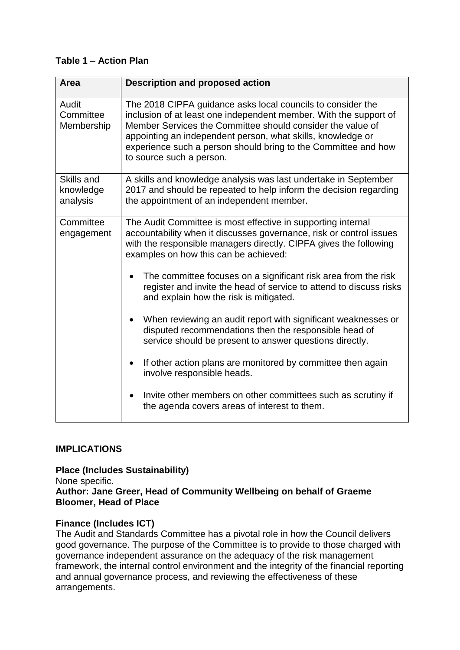# **Table 1 – Action Plan**

| <b>Area</b>                         | <b>Description and proposed action</b>                                                                                                                                                                                                                                                                                                                      |
|-------------------------------------|-------------------------------------------------------------------------------------------------------------------------------------------------------------------------------------------------------------------------------------------------------------------------------------------------------------------------------------------------------------|
| Audit<br>Committee<br>Membership    | The 2018 CIPFA guidance asks local councils to consider the<br>inclusion of at least one independent member. With the support of<br>Member Services the Committee should consider the value of<br>appointing an independent person, what skills, knowledge or<br>experience such a person should bring to the Committee and how<br>to source such a person. |
| Skills and<br>knowledge<br>analysis | A skills and knowledge analysis was last undertake in September<br>2017 and should be repeated to help inform the decision regarding<br>the appointment of an independent member.                                                                                                                                                                           |
| Committee<br>engagement             | The Audit Committee is most effective in supporting internal<br>accountability when it discusses governance, risk or control issues<br>with the responsible managers directly. CIPFA gives the following<br>examples on how this can be achieved:                                                                                                           |
|                                     | The committee focuses on a significant risk area from the risk<br>register and invite the head of service to attend to discuss risks<br>and explain how the risk is mitigated.                                                                                                                                                                              |
|                                     | When reviewing an audit report with significant weaknesses or<br>disputed recommendations then the responsible head of<br>service should be present to answer questions directly.                                                                                                                                                                           |
|                                     | If other action plans are monitored by committee then again<br>involve responsible heads.                                                                                                                                                                                                                                                                   |
|                                     | Invite other members on other committees such as scrutiny if<br>the agenda covers areas of interest to them.                                                                                                                                                                                                                                                |

# **IMPLICATIONS**

#### **Place (Includes Sustainability)** None specific. **Author: Jane Greer, Head of Community Wellbeing on behalf of Graeme Bloomer, Head of Place**

# **Finance (Includes ICT)**

The Audit and Standards Committee has a pivotal role in how the Council delivers good governance. The purpose of the Committee is to provide to those charged with governance independent assurance on the adequacy of the risk management framework, the internal control environment and the integrity of the financial reporting and annual governance process, and reviewing the effectiveness of these arrangements.